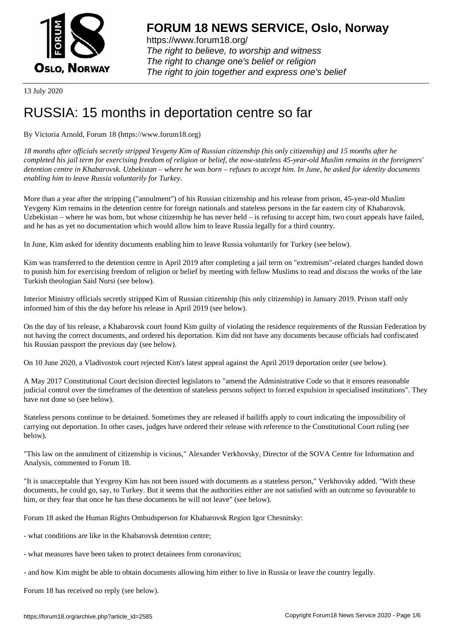

https://www.forum18.org/ The right to believe, to worship and witness The right to change one's belief or religion [The right to join together a](https://www.forum18.org/)nd express one's belief

13 July 2020

## [RUSSIA: 15 mo](https://www.forum18.org)nths in deportation centre so far

By Victoria Arnold, Forum 18 (https://www.forum18.org)

*18 months after officials secretly stripped Yevgeny Kim of Russian citizenship (his only citizenship) and 15 months after he completed his jail term for exercising freedom of religion or belief, the now-stateless 45-year-old Muslim remains in the foreigners' detention centre in Khabarovsk. Uzbekistan – where he was born – refuses to accept him. In June, he asked for identity documents enabling him to leave Russia voluntarily for Turkey.*

More than a year after the stripping ("annulment") of his Russian citizenship and his release from prison, 45-year-old Muslim Yevgeny Kim remains in the detention centre for foreign nationals and stateless persons in the far eastern city of Khabarovsk. Uzbekistan – where he was born, but whose citizenship he has never held – is refusing to accept him, two court appeals have failed, and he has as yet no documentation which would allow him to leave Russia legally for a third country.

In June, Kim asked for identity documents enabling him to leave Russia voluntarily for Turkey (see below).

Kim was transferred to the detention centre in April 2019 after completing a jail term on "extremism"-related charges handed down to punish him for exercising freedom of religion or belief by meeting with fellow Muslims to read and discuss the works of the late Turkish theologian Said Nursi (see below).

Interior Ministry officials secretly stripped Kim of Russian citizenship (his only citizenship) in January 2019. Prison staff only informed him of this the day before his release in April 2019 (see below).

On the day of his release, a Khabarovsk court found Kim guilty of violating the residence requirements of the Russian Federation by not having the correct documents, and ordered his deportation. Kim did not have any documents because officials had confiscated his Russian passport the previous day (see below).

On 10 June 2020, a Vladivostok court rejected Kim's latest appeal against the April 2019 deportation order (see below).

A May 2017 Constitutional Court decision directed legislators to "amend the Administrative Code so that it ensures reasonable judicial control over the timeframes of the detention of stateless persons subject to forced expulsion in specialised institutions". They have not done so (see below).

Stateless persons continue to be detained. Sometimes they are released if bailiffs apply to court indicating the impossibility of carrying out deportation. In other cases, judges have ordered their release with reference to the Constitutional Court ruling (see below).

"This law on the annulment of citizenship is vicious," Alexander Verkhovsky, Director of the SOVA Centre for Information and Analysis, commented to Forum 18.

"It is unacceptable that Yevgeny Kim has not been issued with documents as a stateless person," Verkhovsky added. "With these documents, he could go, say, to Turkey. But it seems that the authorities either are not satisfied with an outcome so favourable to him, or they fear that once he has these documents he will not leave" (see below).

Forum 18 asked the Human Rights Ombudsperson for Khabarovsk Region Igor Chesnitsky:

- what conditions are like in the Khabarovsk detention centre;
- what measures have been taken to protect detainees from coronavirus;
- and how Kim might be able to obtain documents allowing him either to live in Russia or leave the country legally.

Forum 18 has received no reply (see below).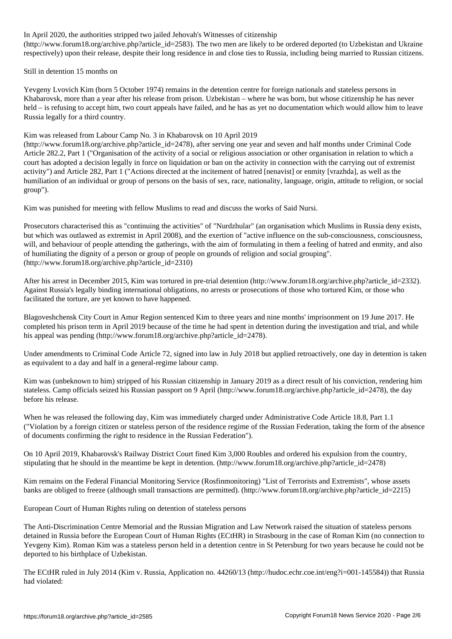In April 2020, the authorities stripped two jailed Jehovah's Witnesses of citizenship (http://www.forum18.org/archive.php?article\_id=2583). The two men are likely to be ordered deported (to Uzbekistan and Ukraine respectively) upon their release, despite their long residence in and close ties to Russia, including being married to Russian citizens.

Still in detention 15 months on

Yevgeny Lvovich Kim (born 5 October 1974) remains in the detention centre for foreign nationals and stateless persons in Khabarovsk, more than a year after his release from prison. Uzbekistan – where he was born, but whose citizenship he has never held – is refusing to accept him, two court appeals have failed, and he has as yet no documentation which would allow him to leave Russia legally for a third country.

Kim was released from Labour Camp No. 3 in Khabarovsk on 10 April 2019

(http://www.forum18.org/archive.php?article\_id=2478), after serving one year and seven and half months under Criminal Code Article 282.2, Part 1 ("Organisation of the activity of a social or religious association or other organisation in relation to which a court has adopted a decision legally in force on liquidation or ban on the activity in connection with the carrying out of extremist activity") and Article 282, Part 1 ("Actions directed at the incitement of hatred [nenavist] or enmity [vrazhda], as well as the humiliation of an individual or group of persons on the basis of sex, race, nationality, language, origin, attitude to religion, or social group").

Kim was punished for meeting with fellow Muslims to read and discuss the works of Said Nursi.

Prosecutors characterised this as "continuing the activities" of "Nurdzhular" (an organisation which Muslims in Russia deny exists, but which was outlawed as extremist in April 2008), and the exertion of "active influence on the sub-consciousness, consciousness, will, and behaviour of people attending the gatherings, with the aim of formulating in them a feeling of hatred and enmity, and also of humiliating the dignity of a person or group of people on grounds of religion and social grouping". (http://www.forum18.org/archive.php?article\_id=2310)

After his arrest in December 2015, Kim was tortured in pre-trial detention (http://www.forum18.org/archive.php?article\_id=2332). Against Russia's legally binding international obligations, no arrests or prosecutions of those who tortured Kim, or those who facilitated the torture, are yet known to have happened.

Blagoveshchensk City Court in Amur Region sentenced Kim to three years and nine months' imprisonment on 19 June 2017. He completed his prison term in April 2019 because of the time he had spent in detention during the investigation and trial, and while his appeal was pending (http://www.forum18.org/archive.php?article\_id=2478).

Under amendments to Criminal Code Article 72, signed into law in July 2018 but applied retroactively, one day in detention is taken as equivalent to a day and half in a general-regime labour camp.

Kim was (unbeknown to him) stripped of his Russian citizenship in January 2019 as a direct result of his conviction, rendering him stateless. Camp officials seized his Russian passport on 9 April (http://www.forum18.org/archive.php?article\_id=2478), the day before his release.

When he was released the following day, Kim was immediately charged under Administrative Code Article 18.8, Part 1.1 ("Violation by a foreign citizen or stateless person of the residence regime of the Russian Federation, taking the form of the absence of documents confirming the right to residence in the Russian Federation").

On 10 April 2019, Khabarovsk's Railway District Court fined Kim 3,000 Roubles and ordered his expulsion from the country, stipulating that he should in the meantime be kept in detention. (http://www.forum18.org/archive.php?article\_id=2478)

Kim remains on the Federal Financial Monitoring Service (Rosfinmonitoring) "List of Terrorists and Extremists", whose assets banks are obliged to freeze (although small transactions are permitted). (http://www.forum18.org/archive.php?article\_id=2215)

European Court of Human Rights ruling on detention of stateless persons

The Anti-Discrimination Centre Memorial and the Russian Migration and Law Network raised the situation of stateless persons detained in Russia before the European Court of Human Rights (ECtHR) in Strasbourg in the case of Roman Kim (no connection to Yevgeny Kim). Roman Kim was a stateless person held in a detention centre in St Petersburg for two years because he could not be deported to his birthplace of Uzbekistan.

The ECtHR ruled in July 2014 (Kim v. Russia, Application no. 44260/13 (http://hudoc.echr.coe.int/eng?i=001-145584)) that Russia had violated: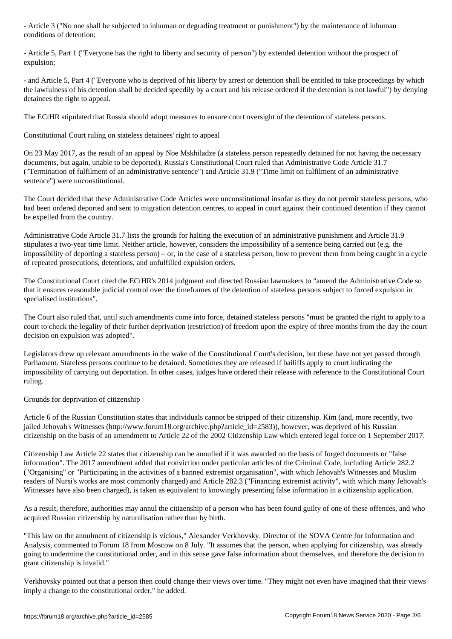- Article 5, Part 1 ("Everyone has the right to liberty and security of person") by extended detention without the prospect of expulsion;

- and Article 5, Part 4 ("Everyone who is deprived of his liberty by arrest or detention shall be entitled to take proceedings by which the lawfulness of his detention shall be decided speedily by a court and his release ordered if the detention is not lawful") by denying detainees the right to appeal.

The ECtHR stipulated that Russia should adopt measures to ensure court oversight of the detention of stateless persons.

Constitutional Court ruling on stateless detainees' right to appeal

On 23 May 2017, as the result of an appeal by Noe Mskhiladze (a stateless person repeatedly detained for not having the necessary documents, but again, unable to be deported), Russia's Constitutional Court ruled that Administrative Code Article 31.7 ("Termination of fulfilment of an administrative sentence") and Article 31.9 ("Time limit on fulfilment of an administrative sentence") were unconstitutional.

The Court decided that these Administrative Code Articles were unconstitutional insofar as they do not permit stateless persons, who had been ordered deported and sent to migration detention centres, to appeal in court against their continued detention if they cannot be expelled from the country.

Administrative Code Article 31.7 lists the grounds for halting the execution of an administrative punishment and Article 31.9 stipulates a two-year time limit. Neither article, however, considers the impossibility of a sentence being carried out (e.g. the impossibility of deporting a stateless person) – or, in the case of a stateless person, how to prevent them from being caught in a cycle of repeated prosecutions, detentions, and unfulfilled expulsion orders.

The Constitutional Court cited the ECtHR's 2014 judgment and directed Russian lawmakers to "amend the Administrative Code so that it ensures reasonable judicial control over the timeframes of the detention of stateless persons subject to forced expulsion in specialised institutions".

The Court also ruled that, until such amendments come into force, detained stateless persons "must be granted the right to apply to a court to check the legality of their further deprivation (restriction) of freedom upon the expiry of three months from the day the court decision on expulsion was adopted".

Legislators drew up relevant amendments in the wake of the Constitutional Court's decision, but these have not yet passed through Parliament. Stateless persons continue to be detained. Sometimes they are released if bailiffs apply to court indicating the impossibility of carrying out deportation. In other cases, judges have ordered their release with reference to the Constitutional Court ruling.

Grounds for deprivation of citizenship

Article 6 of the Russian Constitution states that individuals cannot be stripped of their citizenship. Kim (and, more recently, two jailed Jehovah's Witnesses (http://www.forum18.org/archive.php?article\_id=2583)), however, was deprived of his Russian citizenship on the basis of an amendment to Article 22 of the 2002 Citizenship Law which entered legal force on 1 September 2017.

Citizenship Law Article 22 states that citizenship can be annulled if it was awarded on the basis of forged documents or "false information". The 2017 amendment added that conviction under particular articles of the Criminal Code, including Article 282.2 ("Organising" or "Participating in the activities of a banned extremist organisation", with which Jehovah's Witnesses and Muslim readers of Nursi's works are most commonly charged) and Article 282.3 ("Financing extremist activity", with which many Jehovah's Witnesses have also been charged), is taken as equivalent to knowingly presenting false information in a citizenship application.

As a result, therefore, authorities may annul the citizenship of a person who has been found guilty of one of these offences, and who acquired Russian citizenship by naturalisation rather than by birth.

"This law on the annulment of citizenship is vicious," Alexander Verkhovsky, Director of the SOVA Centre for Information and Analysis, commented to Forum 18 from Moscow on 8 July. "It assumes that the person, when applying for citizenship, was already going to undermine the constitutional order, and in this sense gave false information about themselves, and therefore the decision to grant citizenship is invalid."

Verkhovsky pointed out that a person then could change their views over time. "They might not even have imagined that their views imply a change to the constitutional order," he added.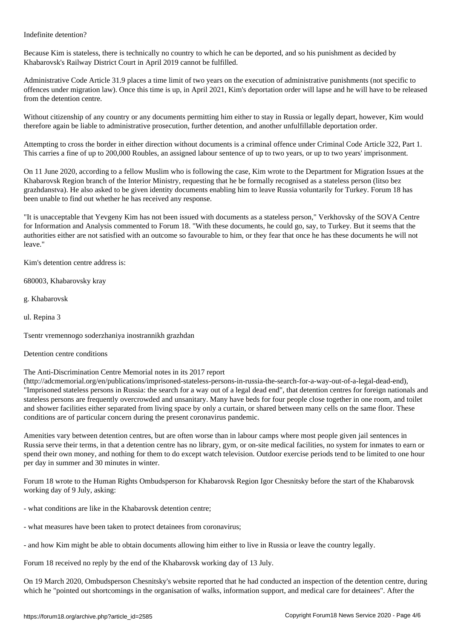Because Kim is stateless, there is technically no country to which he can be deported, and so his punishment as decided by Khabarovsk's Railway District Court in April 2019 cannot be fulfilled.

Administrative Code Article 31.9 places a time limit of two years on the execution of administrative punishments (not specific to offences under migration law). Once this time is up, in April 2021, Kim's deportation order will lapse and he will have to be released from the detention centre.

Without citizenship of any country or any documents permitting him either to stay in Russia or legally depart, however, Kim would therefore again be liable to administrative prosecution, further detention, and another unfulfillable deportation order.

Attempting to cross the border in either direction without documents is a criminal offence under Criminal Code Article 322, Part 1. This carries a fine of up to 200,000 Roubles, an assigned labour sentence of up to two years, or up to two years' imprisonment.

On 11 June 2020, according to a fellow Muslim who is following the case, Kim wrote to the Department for Migration Issues at the Khabarovsk Region branch of the Interior Ministry, requesting that he be formally recognised as a stateless person (litso bez grazhdanstva). He also asked to be given identity documents enabling him to leave Russia voluntarily for Turkey. Forum 18 has been unable to find out whether he has received any response.

"It is unacceptable that Yevgeny Kim has not been issued with documents as a stateless person," Verkhovsky of the SOVA Centre for Information and Analysis commented to Forum 18. "With these documents, he could go, say, to Turkey. But it seems that the authorities either are not satisfied with an outcome so favourable to him, or they fear that once he has these documents he will not leave."

Kim's detention centre address is:

680003, Khabarovsky kray

g. Khabarovsk

ul. Repina 3

Tsentr vremennogo soderzhaniya inostrannikh grazhdan

Detention centre conditions

## The Anti-Discrimination Centre Memorial notes in its 2017 report

(http://adcmemorial.org/en/publications/imprisoned-stateless-persons-in-russia-the-search-for-a-way-out-of-a-legal-dead-end), "Imprisoned stateless persons in Russia: the search for a way out of a legal dead end", that detention centres for foreign nationals and stateless persons are frequently overcrowded and unsanitary. Many have beds for four people close together in one room, and toilet and shower facilities either separated from living space by only a curtain, or shared between many cells on the same floor. These conditions are of particular concern during the present coronavirus pandemic.

Amenities vary between detention centres, but are often worse than in labour camps where most people given jail sentences in Russia serve their terms, in that a detention centre has no library, gym, or on-site medical facilities, no system for inmates to earn or spend their own money, and nothing for them to do except watch television. Outdoor exercise periods tend to be limited to one hour per day in summer and 30 minutes in winter.

Forum 18 wrote to the Human Rights Ombudsperson for Khabarovsk Region Igor Chesnitsky before the start of the Khabarovsk working day of 9 July, asking:

- what conditions are like in the Khabarovsk detention centre;

- what measures have been taken to protect detainees from coronavirus;

- and how Kim might be able to obtain documents allowing him either to live in Russia or leave the country legally.

Forum 18 received no reply by the end of the Khabarovsk working day of 13 July.

On 19 March 2020, Ombudsperson Chesnitsky's website reported that he had conducted an inspection of the detention centre, during which he "pointed out shortcomings in the organisation of walks, information support, and medical care for detainees". After the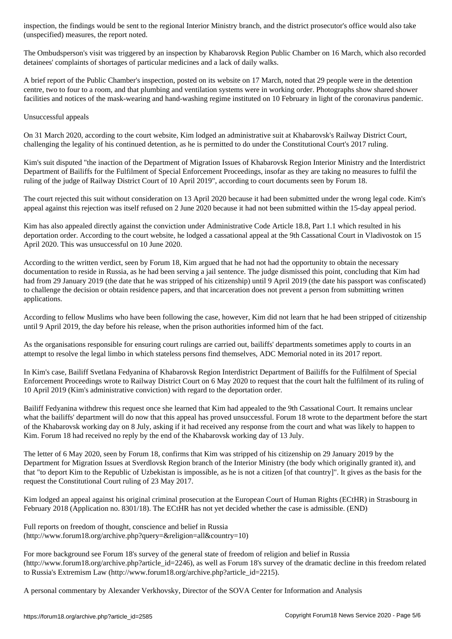(unspecified) measures, the report noted in the report noted. The report noted is a set of  $\mathcal{U}$ 

The Ombudsperson's visit was triggered by an inspection by Khabarovsk Region Public Chamber on 16 March, which also recorded detainees' complaints of shortages of particular medicines and a lack of daily walks.

A brief report of the Public Chamber's inspection, posted on its website on 17 March, noted that 29 people were in the detention centre, two to four to a room, and that plumbing and ventilation systems were in working order. Photographs show shared shower facilities and notices of the mask-wearing and hand-washing regime instituted on 10 February in light of the coronavirus pandemic.

## Unsuccessful appeals

On 31 March 2020, according to the court website, Kim lodged an administrative suit at Khabarovsk's Railway District Court, challenging the legality of his continued detention, as he is permitted to do under the Constitutional Court's 2017 ruling.

Kim's suit disputed "the inaction of the Department of Migration Issues of Khabarovsk Region Interior Ministry and the Interdistrict Department of Bailiffs for the Fulfilment of Special Enforcement Proceedings, insofar as they are taking no measures to fulfil the ruling of the judge of Railway District Court of 10 April 2019", according to court documents seen by Forum 18.

The court rejected this suit without consideration on 13 April 2020 because it had been submitted under the wrong legal code. Kim's appeal against this rejection was itself refused on 2 June 2020 because it had not been submitted within the 15-day appeal period.

Kim has also appealed directly against the conviction under Administrative Code Article 18.8, Part 1.1 which resulted in his deportation order. According to the court website, he lodged a cassational appeal at the 9th Cassational Court in Vladivostok on 15 April 2020. This was unsuccessful on 10 June 2020.

According to the written verdict, seen by Forum 18, Kim argued that he had not had the opportunity to obtain the necessary documentation to reside in Russia, as he had been serving a jail sentence. The judge dismissed this point, concluding that Kim had had from 29 January 2019 (the date that he was stripped of his citizenship) until 9 April 2019 (the date his passport was confiscated) to challenge the decision or obtain residence papers, and that incarceration does not prevent a person from submitting written applications.

According to fellow Muslims who have been following the case, however, Kim did not learn that he had been stripped of citizenship until 9 April 2019, the day before his release, when the prison authorities informed him of the fact.

As the organisations responsible for ensuring court rulings are carried out, bailiffs' departments sometimes apply to courts in an attempt to resolve the legal limbo in which stateless persons find themselves, ADC Memorial noted in its 2017 report.

In Kim's case, Bailiff Svetlana Fedyanina of Khabarovsk Region Interdistrict Department of Bailiffs for the Fulfilment of Special Enforcement Proceedings wrote to Railway District Court on 6 May 2020 to request that the court halt the fulfilment of its ruling of 10 April 2019 (Kim's administrative conviction) with regard to the deportation order.

Bailiff Fedyanina withdrew this request once she learned that Kim had appealed to the 9th Cassational Court. It remains unclear what the bailiffs' department will do now that this appeal has proved unsuccessful. Forum 18 wrote to the department before the start of the Khabarovsk working day on 8 July, asking if it had received any response from the court and what was likely to happen to Kim. Forum 18 had received no reply by the end of the Khabarovsk working day of 13 July.

The letter of 6 May 2020, seen by Forum 18, confirms that Kim was stripped of his citizenship on 29 January 2019 by the Department for Migration Issues at Sverdlovsk Region branch of the Interior Ministry (the body which originally granted it), and that "to deport Kim to the Republic of Uzbekistan is impossible, as he is not a citizen [of that country]". It gives as the basis for the request the Constitutional Court ruling of 23 May 2017.

Kim lodged an appeal against his original criminal prosecution at the European Court of Human Rights (ECtHR) in Strasbourg in February 2018 (Application no. 8301/18). The ECtHR has not yet decided whether the case is admissible. (END)

Full reports on freedom of thought, conscience and belief in Russia (http://www.forum18.org/archive.php?query=&religion=all&country=10)

For more background see Forum 18's survey of the general state of freedom of religion and belief in Russia (http://www.forum18.org/archive.php?article\_id=2246), as well as Forum 18's survey of the dramatic decline in this freedom related to Russia's Extremism Law (http://www.forum18.org/archive.php?article\_id=2215).

A personal commentary by Alexander Verkhovsky, Director of the SOVA Center for Information and Analysis